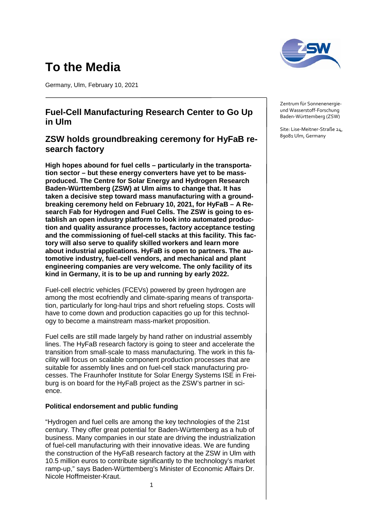# **To the Media**

Germany, Ulm, February 10, 2021

# **Fuel-Cell Manufacturing Research Center to Go Up in Ulm**

# **ZSW holds groundbreaking ceremony for HyFaB research factory**

**High hopes abound for fuel cells – particularly in the transportation sector – but these energy converters have yet to be massproduced. The Centre for Solar Energy and Hydrogen Research Baden-Württemberg (ZSW) at Ulm aims to change that. It has taken a decisive step toward mass manufacturing with a groundbreaking ceremony held on February 10, 2021, for HyFaB – A Research Fab for Hydrogen and Fuel Cells. The ZSW is going to establish an open industry platform to look into automated production and quality assurance processes, factory acceptance testing and the commissioning of fuel-cell stacks at this facility. This factory will also serve to qualify skilled workers and learn more about industrial applications. HyFaB is open to partners. The automotive industry, fuel-cell vendors, and mechanical and plant engineering companies are very welcome. The only facility of its kind in Germany, it is to be up and running by early 2022.**

Fuel-cell electric vehicles (FCEVs) powered by green hydrogen are among the most ecofriendly and climate-sparing means of transportation, particularly for long-haul trips and short refueling stops. Costs will have to come down and production capacities go up for this technology to become a mainstream mass-market proposition.

Fuel cells are still made largely by hand rather on industrial assembly lines. The HyFaB research factory is going to steer and accelerate the transition from small-scale to mass manufacturing. The work in this facility will focus on scalable component production processes that are suitable for assembly lines and on fuel-cell stack manufacturing processes. The Fraunhofer Institute for Solar Energy Systems ISE in Freiburg is on board for the HyFaB project as the ZSW's partner in science.

### **Political endorsement and public funding**

"Hydrogen and fuel cells are among the key technologies of the 21st century. They offer great potential for Baden-Württemberg as a hub of business. Many companies in our state are driving the industrialization of fuel-cell manufacturing with their innovative ideas. We are funding the construction of the HyFaB research factory at the ZSW in Ulm with 10.5 million euros to contribute significantly to the technology's market ramp-up," says Baden-Württemberg's Minister of Economic Affairs Dr. Nicole Hoffmeister-Kraut.



Zentrum für Sonnenenergieund Wasserstoff-Forschung Baden-Württemberg (ZSW)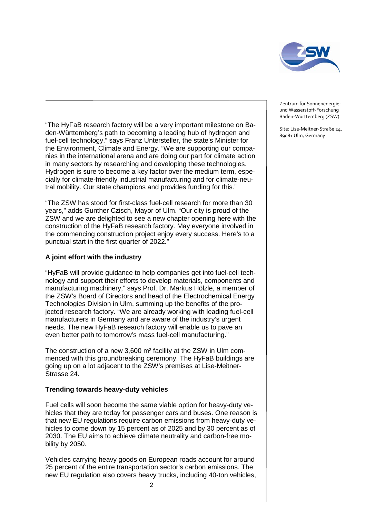

"The HyFaB research factory will be a very important milestone on Baden-Württemberg's path to becoming a leading hub of hydrogen and fuel-cell technology," says Franz Untersteller, the state's Minister for the Environment, Climate and Energy. "We are supporting our companies in the international arena and are doing our part for climate action in many sectors by researching and developing these technologies. Hydrogen is sure to become a key factor over the medium term, especially for climate-friendly industrial manufacturing and for climate-neutral mobility. Our state champions and provides funding for this."

"The ZSW has stood for first-class fuel-cell research for more than 30 years," adds Gunther Czisch, Mayor of Ulm. "Our city is proud of the ZSW and we are delighted to see a new chapter opening here with the construction of the HyFaB research factory. May everyone involved in the commencing construction project enjoy every success. Here's to a punctual start in the first quarter of 2022."

## **A joint effort with the industry**

"HyFaB will provide guidance to help companies get into fuel-cell technology and support their efforts to develop materials, components and manufacturing machinery," says Prof. Dr. Markus Hölzle, a member of the ZSW's Board of Directors and head of the Electrochemical Energy Technologies Division in Ulm, summing up the benefits of the projected research factory. "We are already working with leading fuel-cell manufacturers in Germany and are aware of the industry's urgent needs. The new HyFaB research factory will enable us to pave an even better path to tomorrow's mass fuel-cell manufacturing."

The construction of a new 3,600 m² facility at the ZSW in Ulm commenced with this groundbreaking ceremony. The HyFaB buildings are going up on a lot adjacent to the ZSW's premises at Lise-Meitner-Strasse 24.

### **Trending towards heavy-duty vehicles**

Fuel cells will soon become the same viable option for heavy-duty vehicles that they are today for passenger cars and buses. One reason is that new EU regulations require carbon emissions from heavy-duty vehicles to come down by 15 percent as of 2025 and by 30 percent as of 2030. The EU aims to achieve climate neutrality and carbon-free mobility by 2050.

Vehicles carrying heavy goods on European roads account for around 25 percent of the entire transportation sector's carbon emissions. The new EU regulation also covers heavy trucks, including 40-ton vehicles, Zentrum für Sonnenenergieund Wasserstoff-Forschung Baden-Württemberg (ZSW)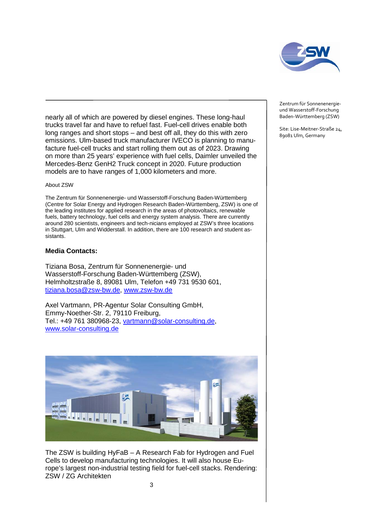

nearly all of which are powered by diesel engines. These long-haul trucks travel far and have to refuel fast. Fuel-cell drives enable both long ranges and short stops – and best off all, they do this with zero emissions. Ulm-based truck manufacturer IVECO is planning to manufacture fuel-cell trucks and start rolling them out as of 2023. Drawing on more than 25 years' experience with fuel cells, Daimler unveiled the Mercedes-Benz GenH2 Truck concept in 2020. Future production models are to have ranges of 1,000 kilometers and more.

#### About ZSW

The Zentrum für Sonnenenergie- und Wasserstoff-Forschung Baden-Württemberg (Centre for Solar Energy and Hydrogen Research Baden-Württemberg, ZSW) is one of the leading institutes for applied research in the areas of photovoltaics, renewable fuels, battery technology, fuel cells and energy system analysis. There are currently around 280 scientists, engineers and tech-nicians employed at ZSW's three locations in Stuttgart, Ulm and Widderstall. In addition, there are 100 research and student assistants.

#### **Media Contacts:**

Tiziana Bosa, Zentrum für Sonnenenergie- und Wasserstoff-Forschung Baden-Württemberg (ZSW), Helmholtzstraße 8, 89081 Ulm, Telefon +49 731 9530 601, [tiziana.bosa@zsw-bw.de,](mailto:tiziana.bosa@zsw-bw.de) [www.zsw-bw.de](http://www.zsw-bw.de/)

Axel Vartmann, PR-Agentur Solar Consulting GmbH, Emmy-Noether-Str. 2, 79110 Freiburg, Tel.: +49 761 380968-23, [vartmann@solar-consulting.de,](mailto:vartmann@solar-consulting.de) [www.solar-consulting.de](http://www.solar-consulting.de/)



The ZSW is building HyFaB – A Research Fab for Hydrogen and Fuel Cells to develop manufacturing technologies. It will also house Europe's largest non-industrial testing field for fuel-cell stacks. Rendering: ZSW / ZG Architekten

Zentrum für Sonnenenergieund Wasserstoff-Forschung Baden-Württemberg (ZSW)